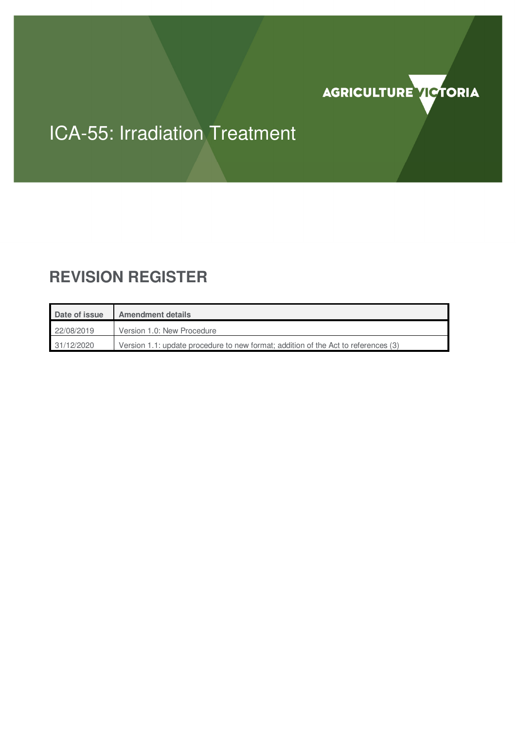

# ICA-55: Irradiation Treatment

# **REVISION REGISTER**

| Date of issue | <b>Amendment details</b>                                                           |
|---------------|------------------------------------------------------------------------------------|
| 22/08/2019    | Version 1.0: New Procedure                                                         |
| 31/12/2020    | Version 1.1: update procedure to new format; addition of the Act to references (3) |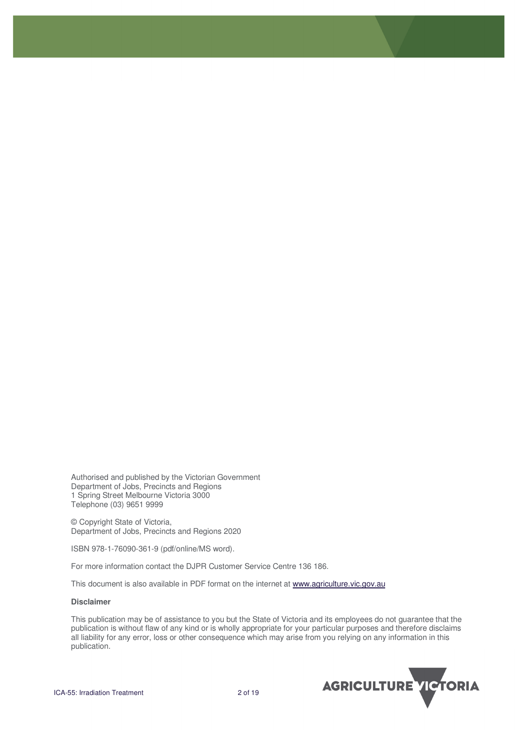Authorised and published by the Victorian Government Department of Jobs, Precincts and Regions 1 Spring Street Melbourne Victoria 3000 Telephone (03) 9651 9999

© Copyright State of Victoria, Department of Jobs, Precincts and Regions 2020

ISBN 978-1-76090-361-9 (pdf/online/MS word).

For more information contact the DJPR Customer Service Centre 136 186.

This document is also available in PDF format on the internet at www.agriculture.vic.gov.au

#### **Disclaimer**

This publication may be of assistance to you but the State of Victoria and its employees do not guarantee that the publication is without flaw of any kind or is wholly appropriate for your particular purposes and therefore disclaims all liability for any error, loss or other consequence which may arise from you relying on any information in this publication.

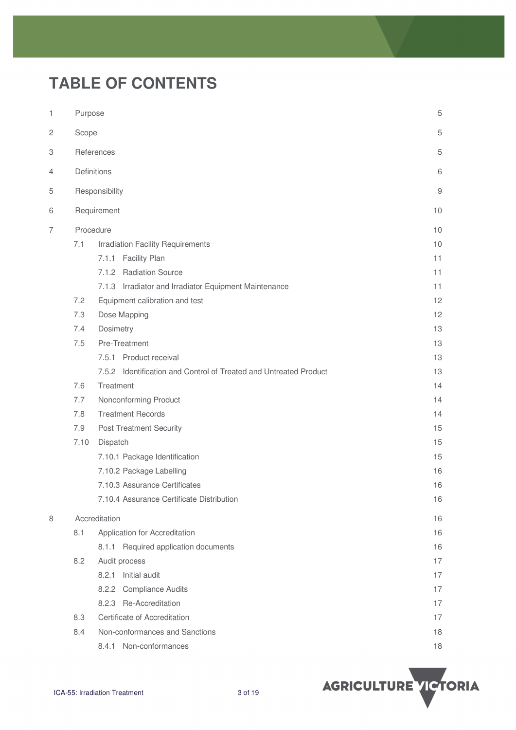# **TABLE OF CONTENTS**

| 1              | Purpose     |                |                                                                   | 5          |
|----------------|-------------|----------------|-------------------------------------------------------------------|------------|
| $\mathbf{2}$   | Scope       |                |                                                                   | 5          |
| 3              |             | References     |                                                                   | 5          |
| 4              | Definitions |                |                                                                   | 6          |
| 5              |             | Responsibility |                                                                   | $\hbox{9}$ |
|                |             |                |                                                                   |            |
| 6              |             | Requirement    |                                                                   | 10         |
| $\overline{7}$ | Procedure   |                |                                                                   | 10         |
|                | 7.1         |                | <b>Irradiation Facility Requirements</b>                          | 10         |
|                |             |                | 7.1.1 Facility Plan                                               | 11         |
|                |             |                | 7.1.2 Radiation Source                                            | 11         |
|                |             |                | 7.1.3 Irradiator and Irradiator Equipment Maintenance             | 11         |
|                | 7.2         |                | Equipment calibration and test                                    | 12         |
|                | 7.3         |                | Dose Mapping                                                      | 12         |
|                | 7.4         | Dosimetry      |                                                                   | 13         |
|                | 7.5         |                | Pre-Treatment                                                     | 13         |
|                |             |                | 7.5.1 Product receival                                            | 13         |
|                |             |                | 7.5.2 Identification and Control of Treated and Untreated Product | 13         |
|                | 7.6         | Treatment      |                                                                   | 14         |
|                | 7.7         |                | Nonconforming Product                                             | 14         |
|                | 7.8         |                | <b>Treatment Records</b>                                          | 14         |
|                | 7.9         |                | <b>Post Treatment Security</b>                                    | 15         |
|                | 7.10        | Dispatch       |                                                                   | 15         |
|                |             |                | 7.10.1 Package Identification                                     | 15         |
|                |             |                | 7.10.2 Package Labelling                                          | 16         |
|                |             |                | 7.10.3 Assurance Certificates                                     | 16         |
|                |             |                | 7.10.4 Assurance Certificate Distribution                         | 16         |
| 8              |             | Accreditation  |                                                                   | 16         |
|                | 8.1         |                | Application for Accreditation                                     | 16         |
|                |             |                | 8.1.1 Required application documents                              | 16         |
|                | 8.2         | Audit process  |                                                                   | 17         |
|                |             |                | 8.2.1 Initial audit                                               | 17         |
|                |             |                | 8.2.2 Compliance Audits                                           | 17         |
|                |             |                | 8.2.3 Re-Accreditation                                            | 17         |
|                | 8.3         |                | Certificate of Accreditation                                      | 17         |
|                | 8.4         |                | Non-conformances and Sanctions                                    | 18         |
|                |             |                | 8.4.1 Non-conformances                                            | 18         |

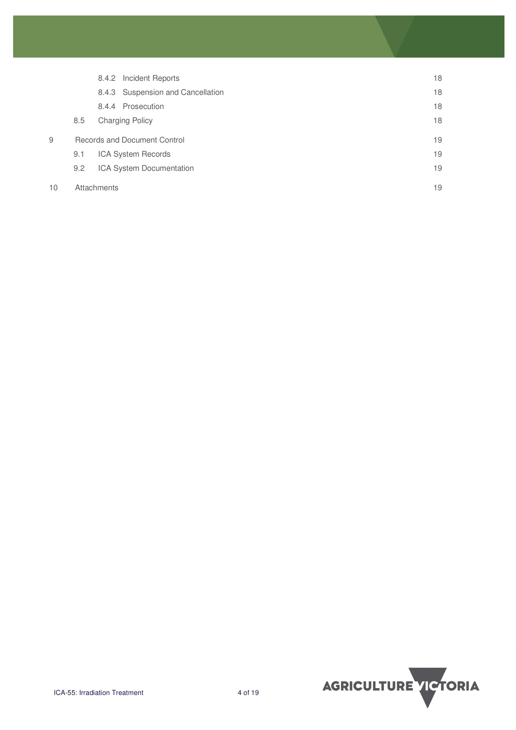|    |     | 8.4.2 Incident Reports            | 18 |
|----|-----|-----------------------------------|----|
|    |     | 8.4.3 Suspension and Cancellation | 18 |
|    |     | 8.4.4 Prosecution                 | 18 |
|    | 8.5 | <b>Charging Policy</b>            | 18 |
| 9  |     | Records and Document Control      | 19 |
|    | 9.1 | <b>ICA System Records</b>         | 19 |
|    | 9.2 | ICA System Documentation          | 19 |
| 10 |     | Attachments                       | 19 |

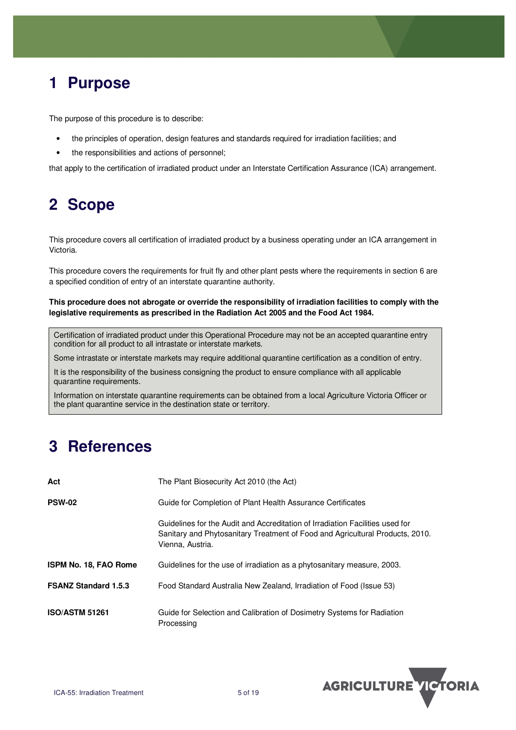## **1 Purpose**

The purpose of this procedure is to describe:

- the principles of operation, design features and standards required for irradiation facilities; and
- the responsibilities and actions of personnel;

that apply to the certification of irradiated product under an Interstate Certification Assurance (ICA) arrangement.

## **2 Scope**

This procedure covers all certification of irradiated product by a business operating under an ICA arrangement in Victoria.

This procedure covers the requirements for fruit fly and other plant pests where the requirements in section 6 are a specified condition of entry of an interstate quarantine authority.

#### **This procedure does not abrogate or override the responsibility of irradiation facilities to comply with the legislative requirements as prescribed in the Radiation Act 2005 and the Food Act 1984.**

Certification of irradiated product under this Operational Procedure may not be an accepted quarantine entry condition for all product to all intrastate or interstate markets.

Some intrastate or interstate markets may require additional quarantine certification as a condition of entry.

It is the responsibility of the business consigning the product to ensure compliance with all applicable quarantine requirements.

Information on interstate quarantine requirements can be obtained from a local Agriculture Victoria Officer or the plant quarantine service in the destination state or territory.

# **3 References**

| Act                         | The Plant Biosecurity Act 2010 (the Act)                                                                                                                                           |
|-----------------------------|------------------------------------------------------------------------------------------------------------------------------------------------------------------------------------|
| <b>PSW-02</b>               | Guide for Completion of Plant Health Assurance Certificates                                                                                                                        |
|                             | Guidelines for the Audit and Accreditation of Irradiation Facilities used for<br>Sanitary and Phytosanitary Treatment of Food and Agricultural Products, 2010.<br>Vienna, Austria. |
| ISPM No. 18, FAO Rome       | Guidelines for the use of irradiation as a phytosanitary measure, 2003.                                                                                                            |
| <b>FSANZ Standard 1.5.3</b> | Food Standard Australia New Zealand, Irradiation of Food (Issue 53)                                                                                                                |
| <b>ISO/ASTM 51261</b>       | Guide for Selection and Calibration of Dosimetry Systems for Radiation<br>Processing                                                                                               |

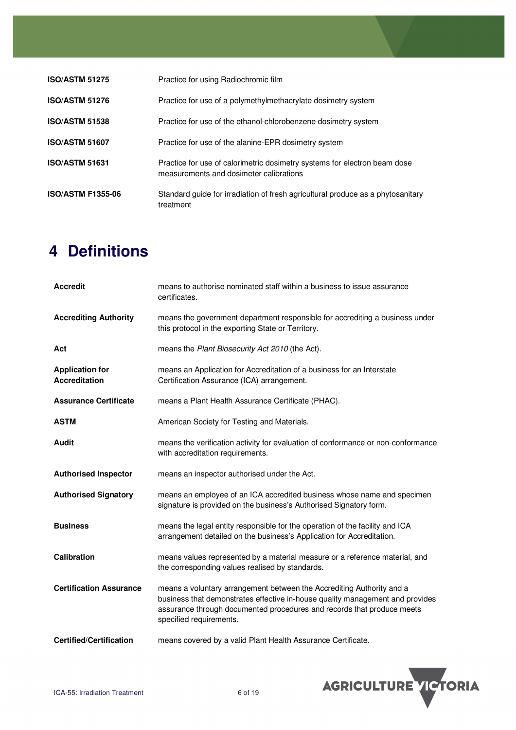| <b>ISO/ASTM 51275</b>    | Practice for using Radiochromic film                                                                                 |
|--------------------------|----------------------------------------------------------------------------------------------------------------------|
| <b>ISO/ASTM 51276</b>    | Practice for use of a polymethylmethacrylate dosimetry system                                                        |
| <b>ISO/ASTM 51538</b>    | Practice for use of the ethanol-chlorobenzene dosimetry system                                                       |
| <b>ISO/ASTM 51607</b>    | Practice for use of the alanine-EPR dosimetry system                                                                 |
| <b>ISO/ASTM 51631</b>    | Practice for use of calorimetric dosimetry systems for electron beam dose<br>measurements and dosimeter calibrations |
| <b>ISO/ASTM F1355-06</b> | Standard guide for irradiation of fresh agricultural produce as a phytosanitary<br>treatment                         |

# **4 Definitions**

| <b>Accredit</b>                         | means to authorise nominated staff within a business to issue assurance<br>certificates.                                                                                                                                                                    |  |
|-----------------------------------------|-------------------------------------------------------------------------------------------------------------------------------------------------------------------------------------------------------------------------------------------------------------|--|
| <b>Accrediting Authority</b>            | means the government department responsible for accrediting a business under<br>this protocol in the exporting State or Territory.                                                                                                                          |  |
| Act                                     | means the Plant Biosecurity Act 2010 (the Act).                                                                                                                                                                                                             |  |
| <b>Application for</b><br>Accreditation | means an Application for Accreditation of a business for an Interstate<br>Certification Assurance (ICA) arrangement.                                                                                                                                        |  |
| <b>Assurance Certificate</b>            | means a Plant Health Assurance Certificate (PHAC).                                                                                                                                                                                                          |  |
| <b>ASTM</b>                             | American Society for Testing and Materials.                                                                                                                                                                                                                 |  |
| Audit                                   | means the verification activity for evaluation of conformance or non-conformance<br>with accreditation requirements.                                                                                                                                        |  |
| <b>Authorised Inspector</b>             | means an inspector authorised under the Act.                                                                                                                                                                                                                |  |
| <b>Authorised Signatory</b>             | means an employee of an ICA accredited business whose name and specimen<br>signature is provided on the business's Authorised Signatory form.                                                                                                               |  |
| <b>Business</b>                         | means the legal entity responsible for the operation of the facility and ICA<br>arrangement detailed on the business's Application for Accreditation.                                                                                                       |  |
| <b>Calibration</b>                      | means values represented by a material measure or a reference material, and<br>the corresponding values realised by standards.                                                                                                                              |  |
| <b>Certification Assurance</b>          | means a voluntary arrangement between the Accrediting Authority and a<br>business that demonstrates effective in-house quality management and provides<br>assurance through documented procedures and records that produce meets<br>specified requirements. |  |
| <b>Certified/Certification</b>          | means covered by a valid Plant Health Assurance Certificate.                                                                                                                                                                                                |  |

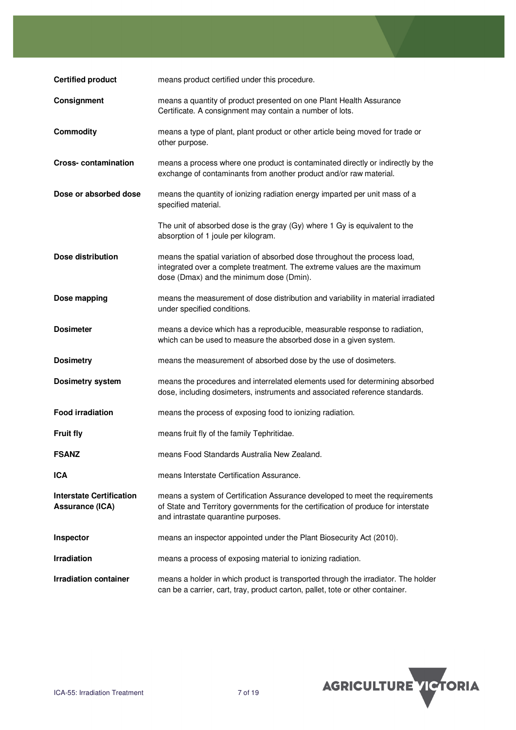| <b>Certified product</b>                                  | means product certified under this procedure.                                                                                                                                                             |
|-----------------------------------------------------------|-----------------------------------------------------------------------------------------------------------------------------------------------------------------------------------------------------------|
| Consignment                                               | means a quantity of product presented on one Plant Health Assurance<br>Certificate. A consignment may contain a number of lots.                                                                           |
| Commodity                                                 | means a type of plant, plant product or other article being moved for trade or<br>other purpose.                                                                                                          |
| <b>Cross-contamination</b>                                | means a process where one product is contaminated directly or indirectly by the<br>exchange of contaminants from another product and/or raw material.                                                     |
| Dose or absorbed dose                                     | means the quantity of ionizing radiation energy imparted per unit mass of a<br>specified material.                                                                                                        |
|                                                           | The unit of absorbed dose is the gray (Gy) where 1 Gy is equivalent to the<br>absorption of 1 joule per kilogram.                                                                                         |
| Dose distribution                                         | means the spatial variation of absorbed dose throughout the process load,<br>integrated over a complete treatment. The extreme values are the maximum<br>dose (Dmax) and the minimum dose (Dmin).         |
| Dose mapping                                              | means the measurement of dose distribution and variability in material irradiated<br>under specified conditions.                                                                                          |
| <b>Dosimeter</b>                                          | means a device which has a reproducible, measurable response to radiation,<br>which can be used to measure the absorbed dose in a given system.                                                           |
| <b>Dosimetry</b>                                          | means the measurement of absorbed dose by the use of dosimeters.                                                                                                                                          |
| <b>Dosimetry system</b>                                   | means the procedures and interrelated elements used for determining absorbed<br>dose, including dosimeters, instruments and associated reference standards.                                               |
| <b>Food irradiation</b>                                   | means the process of exposing food to ionizing radiation.                                                                                                                                                 |
| <b>Fruit fly</b>                                          | means fruit fly of the family Tephritidae.                                                                                                                                                                |
| <b>FSANZ</b>                                              | means Food Standards Australia New Zealand.                                                                                                                                                               |
| <b>ICA</b>                                                | means Interstate Certification Assurance.                                                                                                                                                                 |
| <b>Interstate Certification</b><br><b>Assurance (ICA)</b> | means a system of Certification Assurance developed to meet the requirements<br>of State and Territory governments for the certification of produce for interstate<br>and intrastate quarantine purposes. |
| Inspector                                                 | means an inspector appointed under the Plant Biosecurity Act (2010).                                                                                                                                      |
| <b>Irradiation</b>                                        | means a process of exposing material to ionizing radiation.                                                                                                                                               |
| <b>Irradiation container</b>                              | means a holder in which product is transported through the irradiator. The holder<br>can be a carrier, cart, tray, product carton, pallet, tote or other container.                                       |

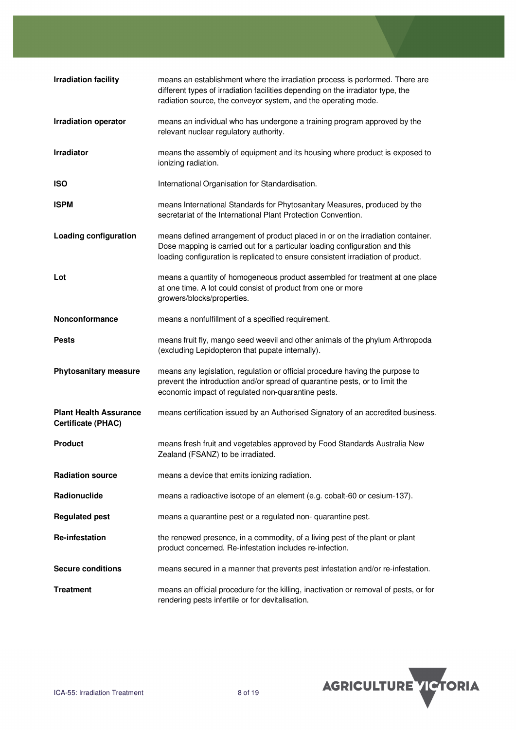| <b>Irradiation facility</b>                                | means an establishment where the irradiation process is performed. There are<br>different types of irradiation facilities depending on the irradiator type, the                                                                                    |  |
|------------------------------------------------------------|----------------------------------------------------------------------------------------------------------------------------------------------------------------------------------------------------------------------------------------------------|--|
|                                                            | radiation source, the conveyor system, and the operating mode.                                                                                                                                                                                     |  |
| <b>Irradiation operator</b>                                | means an individual who has undergone a training program approved by the<br>relevant nuclear regulatory authority.                                                                                                                                 |  |
| Irradiator                                                 | means the assembly of equipment and its housing where product is exposed to<br>ionizing radiation.                                                                                                                                                 |  |
| <b>ISO</b>                                                 | International Organisation for Standardisation.                                                                                                                                                                                                    |  |
| <b>ISPM</b>                                                | means International Standards for Phytosanitary Measures, produced by the<br>secretariat of the International Plant Protection Convention.                                                                                                         |  |
| <b>Loading configuration</b>                               | means defined arrangement of product placed in or on the irradiation container.<br>Dose mapping is carried out for a particular loading configuration and this<br>loading configuration is replicated to ensure consistent irradiation of product. |  |
| Lot                                                        | means a quantity of homogeneous product assembled for treatment at one place<br>at one time. A lot could consist of product from one or more<br>growers/blocks/properties.                                                                         |  |
| Nonconformance                                             | means a nonfulfillment of a specified requirement.                                                                                                                                                                                                 |  |
| <b>Pests</b>                                               | means fruit fly, mango seed weevil and other animals of the phylum Arthropoda<br>(excluding Lepidopteron that pupate internally).                                                                                                                  |  |
| <b>Phytosanitary measure</b>                               | means any legislation, regulation or official procedure having the purpose to<br>prevent the introduction and/or spread of quarantine pests, or to limit the<br>economic impact of regulated non-quarantine pests.                                 |  |
| <b>Plant Health Assurance</b><br><b>Certificate (PHAC)</b> | means certification issued by an Authorised Signatory of an accredited business.                                                                                                                                                                   |  |
| <b>Product</b>                                             | means fresh fruit and vegetables approved by Food Standards Australia New<br>Zealand (FSANZ) to be irradiated.                                                                                                                                     |  |
| <b>Radiation source</b>                                    | means a device that emits ionizing radiation.                                                                                                                                                                                                      |  |
| Radionuclide                                               | means a radioactive isotope of an element (e.g. cobalt-60 or cesium-137).                                                                                                                                                                          |  |
| <b>Regulated pest</b>                                      | means a quarantine pest or a regulated non-quarantine pest.                                                                                                                                                                                        |  |
| <b>Re-infestation</b>                                      | the renewed presence, in a commodity, of a living pest of the plant or plant<br>product concerned. Re-infestation includes re-infection.                                                                                                           |  |
| <b>Secure conditions</b>                                   | means secured in a manner that prevents pest infestation and/or re-infestation.                                                                                                                                                                    |  |
| <b>Treatment</b>                                           | means an official procedure for the killing, inactivation or removal of pests, or for<br>rendering pests infertile or for devitalisation.                                                                                                          |  |

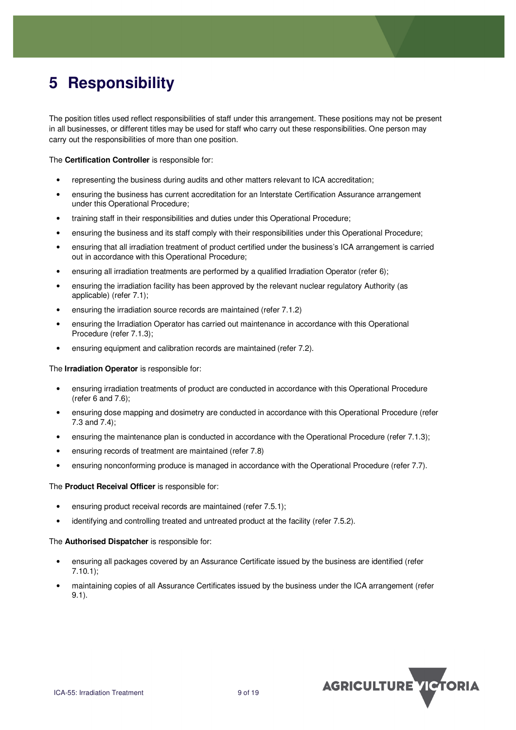# **5 Responsibility**

The position titles used reflect responsibilities of staff under this arrangement. These positions may not be present in all businesses, or different titles may be used for staff who carry out these responsibilities. One person may carry out the responsibilities of more than one position.

The **Certification Controller** is responsible for:

- representing the business during audits and other matters relevant to ICA accreditation;
- ensuring the business has current accreditation for an Interstate Certification Assurance arrangement under this Operational Procedure;
- training staff in their responsibilities and duties under this Operational Procedure;
- ensuring the business and its staff comply with their responsibilities under this Operational Procedure;
- ensuring that all irradiation treatment of product certified under the business's ICA arrangement is carried out in accordance with this Operational Procedure;
- ensuring all irradiation treatments are performed by a qualified Irradiation Operator (refer 6);
- ensuring the irradiation facility has been approved by the relevant nuclear regulatory Authority (as applicable) (refer 7.1);
- ensuring the irradiation source records are maintained (refer 7.1.2)
- ensuring the Irradiation Operator has carried out maintenance in accordance with this Operational Procedure (refer 7.1.3);
- ensuring equipment and calibration records are maintained (refer 7.2).

The **Irradiation Operator** is responsible for:

- ensuring irradiation treatments of product are conducted in accordance with this Operational Procedure (refer 6 and 7.6);
- ensuring dose mapping and dosimetry are conducted in accordance with this Operational Procedure (refer 7.3 and 7.4);
- ensuring the maintenance plan is conducted in accordance with the Operational Procedure (refer 7.1.3);
- ensuring records of treatment are maintained (refer 7.8)
- ensuring nonconforming produce is managed in accordance with the Operational Procedure (refer 7.7).

#### The **Product Receival Officer** is responsible for:

- ensuring product receival records are maintained (refer 7.5.1);
- identifying and controlling treated and untreated product at the facility (refer 7.5.2).

#### The **Authorised Dispatcher** is responsible for:

- ensuring all packages covered by an Assurance Certificate issued by the business are identified (refer 7.10.1);
- maintaining copies of all Assurance Certificates issued by the business under the ICA arrangement (refer 9.1).

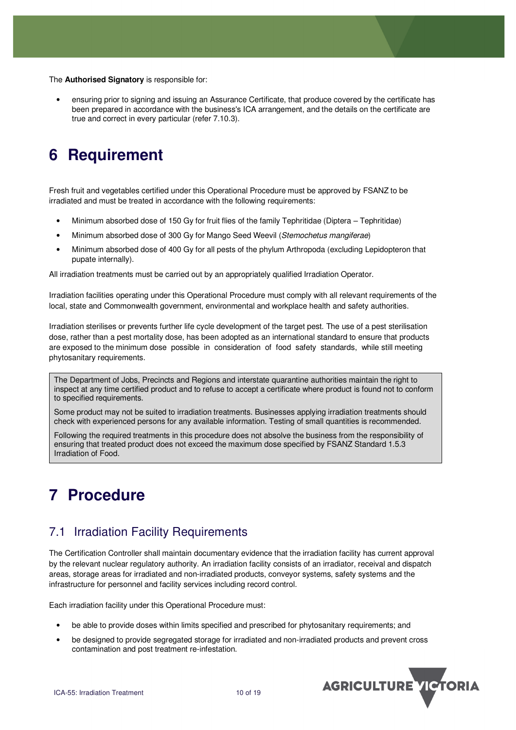The **Authorised Signatory** is responsible for:

• ensuring prior to signing and issuing an Assurance Certificate, that produce covered by the certificate has been prepared in accordance with the business's ICA arrangement, and the details on the certificate are true and correct in every particular (refer 7.10.3).

## **6 Requirement**

Fresh fruit and vegetables certified under this Operational Procedure must be approved by FSANZ to be irradiated and must be treated in accordance with the following requirements:

- Minimum absorbed dose of 150 Gy for fruit flies of the family Tephritidae (Diptera Tephritidae)
- Minimum absorbed dose of 300 Gy for Mango Seed Weevil (Stemochetus mangiferae)
- Minimum absorbed dose of 400 Gy for all pests of the phylum Arthropoda (excluding Lepidopteron that pupate internally).

All irradiation treatments must be carried out by an appropriately qualified Irradiation Operator.

Irradiation facilities operating under this Operational Procedure must comply with all relevant requirements of the local, state and Commonwealth government, environmental and workplace health and safety authorities.

Irradiation sterilises or prevents further life cycle development of the target pest. The use of a pest sterilisation dose, rather than a pest mortality dose, has been adopted as an international standard to ensure that products are exposed to the minimum dose possible in consideration of food safety standards, while still meeting phytosanitary requirements.

The Department of Jobs, Precincts and Regions and interstate quarantine authorities maintain the right to inspect at any time certified product and to refuse to accept a certificate where product is found not to conform to specified requirements.

Some product may not be suited to irradiation treatments. Businesses applying irradiation treatments should check with experienced persons for any available information. Testing of small quantities is recommended.

Following the required treatments in this procedure does not absolve the business from the responsibility of ensuring that treated product does not exceed the maximum dose specified by FSANZ Standard 1.5.3 Irradiation of Food.

## **7 Procedure**

### 7.1 Irradiation Facility Requirements

The Certification Controller shall maintain documentary evidence that the irradiation facility has current approval by the relevant nuclear regulatory authority. An irradiation facility consists of an irradiator, receival and dispatch areas, storage areas for irradiated and non-irradiated products, conveyor systems, safety systems and the infrastructure for personnel and facility services including record control.

Each irradiation facility under this Operational Procedure must:

- be able to provide doses within limits specified and prescribed for phytosanitary requirements; and
- be designed to provide segregated storage for irradiated and non-irradiated products and prevent cross contamination and post treatment re-infestation.

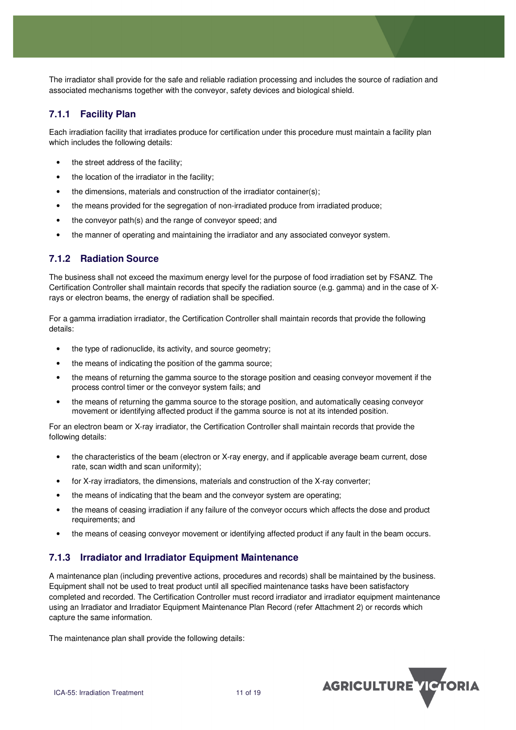The irradiator shall provide for the safe and reliable radiation processing and includes the source of radiation and associated mechanisms together with the conveyor, safety devices and biological shield.

### **7.1.1 Facility Plan**

Each irradiation facility that irradiates produce for certification under this procedure must maintain a facility plan which includes the following details:

- the street address of the facility;
- the location of the irradiator in the facility;
- the dimensions, materials and construction of the irradiator container(s);
- the means provided for the segregation of non-irradiated produce from irradiated produce;
- the conveyor path(s) and the range of conveyor speed; and
- the manner of operating and maintaining the irradiator and any associated conveyor system.

### **7.1.2 Radiation Source**

The business shall not exceed the maximum energy level for the purpose of food irradiation set by FSANZ. The Certification Controller shall maintain records that specify the radiation source (e.g. gamma) and in the case of Xrays or electron beams, the energy of radiation shall be specified.

For a gamma irradiation irradiator, the Certification Controller shall maintain records that provide the following details:

- the type of radionuclide, its activity, and source geometry;
- the means of indicating the position of the gamma source;
- the means of returning the gamma source to the storage position and ceasing convevor movement if the process control timer or the conveyor system fails; and
- the means of returning the gamma source to the storage position, and automatically ceasing conveyor movement or identifying affected product if the gamma source is not at its intended position.

For an electron beam or X-ray irradiator, the Certification Controller shall maintain records that provide the following details:

- the characteristics of the beam (electron or X-ray energy, and if applicable average beam current, dose rate, scan width and scan uniformity);
- for X-ray irradiators, the dimensions, materials and construction of the X-ray converter;
- the means of indicating that the beam and the conveyor system are operating;
- the means of ceasing irradiation if any failure of the conveyor occurs which affects the dose and product requirements; and
- the means of ceasing conveyor movement or identifying affected product if any fault in the beam occurs.

### **7.1.3 Irradiator and Irradiator Equipment Maintenance**

A maintenance plan (including preventive actions, procedures and records) shall be maintained by the business. Equipment shall not be used to treat product until all specified maintenance tasks have been satisfactory completed and recorded. The Certification Controller must record irradiator and irradiator equipment maintenance using an Irradiator and Irradiator Equipment Maintenance Plan Record (refer Attachment 2) or records which capture the same information.

The maintenance plan shall provide the following details:

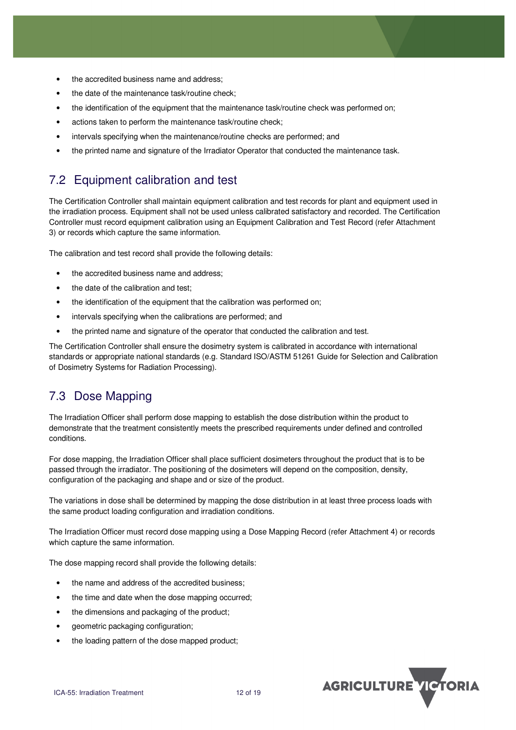- the accredited business name and address;
- the date of the maintenance task/routine check;
- the identification of the equipment that the maintenance task/routine check was performed on;
- actions taken to perform the maintenance task/routine check;
- intervals specifying when the maintenance/routine checks are performed; and
- the printed name and signature of the Irradiator Operator that conducted the maintenance task.

## 7.2 Equipment calibration and test

The Certification Controller shall maintain equipment calibration and test records for plant and equipment used in the irradiation process. Equipment shall not be used unless calibrated satisfactory and recorded. The Certification Controller must record equipment calibration using an Equipment Calibration and Test Record (refer Attachment 3) or records which capture the same information.

The calibration and test record shall provide the following details:

- the accredited business name and address;
- the date of the calibration and test;
- the identification of the equipment that the calibration was performed on:
- intervals specifying when the calibrations are performed; and
- the printed name and signature of the operator that conducted the calibration and test.

The Certification Controller shall ensure the dosimetry system is calibrated in accordance with international standards or appropriate national standards (e.g. Standard ISO/ASTM 51261 Guide for Selection and Calibration of Dosimetry Systems for Radiation Processing).

## 7.3 Dose Mapping

The Irradiation Officer shall perform dose mapping to establish the dose distribution within the product to demonstrate that the treatment consistently meets the prescribed requirements under defined and controlled conditions.

For dose mapping, the Irradiation Officer shall place sufficient dosimeters throughout the product that is to be passed through the irradiator. The positioning of the dosimeters will depend on the composition, density, configuration of the packaging and shape and or size of the product.

The variations in dose shall be determined by mapping the dose distribution in at least three process loads with the same product loading configuration and irradiation conditions.

The Irradiation Officer must record dose mapping using a Dose Mapping Record (refer Attachment 4) or records which capture the same information.

The dose mapping record shall provide the following details:

- the name and address of the accredited business:
- the time and date when the dose mapping occurred;
- the dimensions and packaging of the product;
- geometric packaging configuration;
- the loading pattern of the dose mapped product:

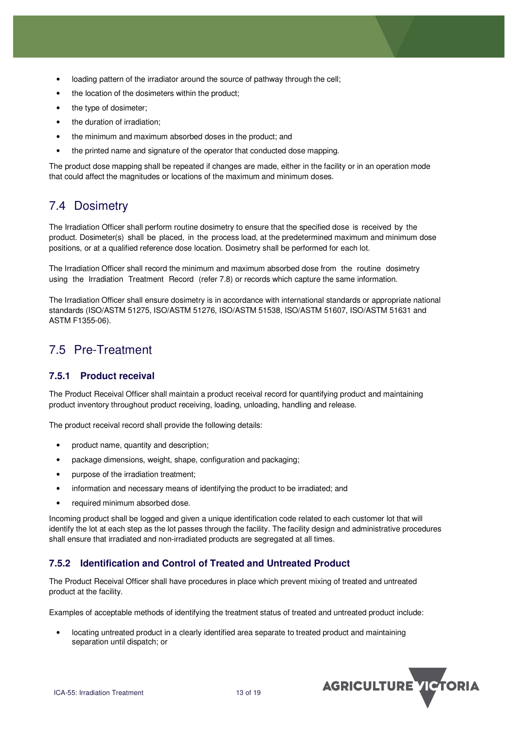- loading pattern of the irradiator around the source of pathway through the cell;
- the location of the dosimeters within the product;
- the type of dosimeter;
- the duration of irradiation:
- the minimum and maximum absorbed doses in the product; and
- the printed name and signature of the operator that conducted dose mapping.

The product dose mapping shall be repeated if changes are made, either in the facility or in an operation mode that could affect the magnitudes or locations of the maximum and minimum doses.

### 7.4 Dosimetry

The Irradiation Officer shall perform routine dosimetry to ensure that the specified dose is received by the product. Dosimeter(s) shall be placed, in the process load, at the predetermined maximum and minimum dose positions, or at a qualified reference dose location. Dosimetry shall be performed for each lot.

The Irradiation Officer shall record the minimum and maximum absorbed dose from the routine dosimetry using the Irradiation Treatment Record (refer 7.8) or records which capture the same information.

The Irradiation Officer shall ensure dosimetry is in accordance with international standards or appropriate national standards (ISO/ASTM 51275, ISO/ASTM 51276, ISO/ASTM 51538, ISO/ASTM 51607, ISO/ASTM 51631 and ASTM F1355-06).

### 7.5 Pre-Treatment

#### **7.5.1 Product receival**

The Product Receival Officer shall maintain a product receival record for quantifying product and maintaining product inventory throughout product receiving, loading, unloading, handling and release.

The product receival record shall provide the following details:

- product name, quantity and description;
- package dimensions, weight, shape, configuration and packaging;
- purpose of the irradiation treatment;
- information and necessary means of identifying the product to be irradiated; and
- required minimum absorbed dose.

Incoming product shall be logged and given a unique identification code related to each customer lot that will identify the lot at each step as the lot passes through the facility. The facility design and administrative procedures shall ensure that irradiated and non-irradiated products are segregated at all times.

#### **7.5.2 Identification and Control of Treated and Untreated Product**

The Product Receival Officer shall have procedures in place which prevent mixing of treated and untreated product at the facility.

Examples of acceptable methods of identifying the treatment status of treated and untreated product include:

• locating untreated product in a clearly identified area separate to treated product and maintaining separation until dispatch; or

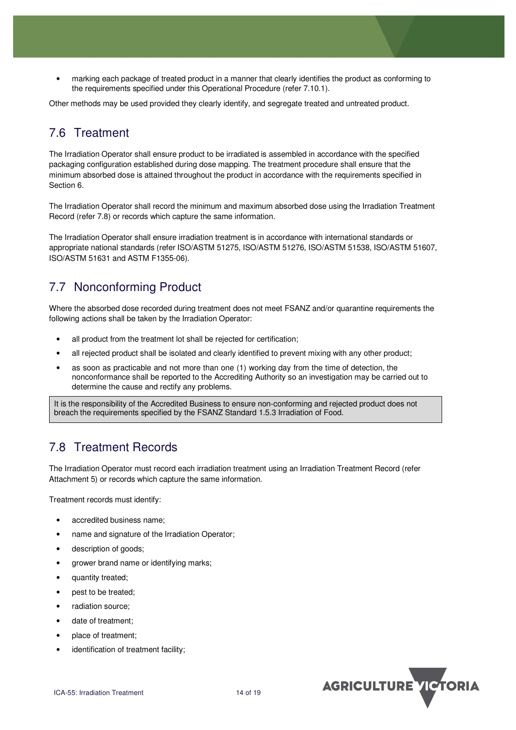• marking each package of treated product in a manner that clearly identifies the product as conforming to the requirements specified under this Operational Procedure (refer 7.10.1).

Other methods may be used provided they clearly identify, and segregate treated and untreated product.

## 7.6 Treatment

The Irradiation Operator shall ensure product to be irradiated is assembled in accordance with the specified packaging configuration established during dose mapping. The treatment procedure shall ensure that the minimum absorbed dose is attained throughout the product in accordance with the requirements specified in Section 6.

The Irradiation Operator shall record the minimum and maximum absorbed dose using the Irradiation Treatment Record (refer 7.8) or records which capture the same information.

The Irradiation Operator shall ensure irradiation treatment is in accordance with international standards or appropriate national standards (refer ISO/ASTM 51275, ISO/ASTM 51276, ISO/ASTM 51538, ISO/ASTM 51607, ISO/ASTM 51631 and ASTM F1355-06).

## 7.7 Nonconforming Product

Where the absorbed dose recorded during treatment does not meet FSANZ and/or quarantine requirements the following actions shall be taken by the Irradiation Operator:

- all product from the treatment lot shall be rejected for certification;
- all rejected product shall be isolated and clearly identified to prevent mixing with any other product;
- as soon as practicable and not more than one (1) working day from the time of detection, the nonconformance shall be reported to the Accrediting Authority so an investigation may be carried out to determine the cause and rectify any problems.

It is the responsibility of the Accredited Business to ensure non-conforming and rejected product does not breach the requirements specified by the FSANZ Standard 1.5.3 Irradiation of Food.

## 7.8 Treatment Records

The Irradiation Operator must record each irradiation treatment using an Irradiation Treatment Record (refer Attachment 5) or records which capture the same information.

Treatment records must identify:

- accredited business name;
- name and signature of the Irradiation Operator;
- description of goods:
- grower brand name or identifying marks;
- quantity treated;
- pest to be treated;
- radiation source;
- date of treatment:
- place of treatment;
- identification of treatment facility;

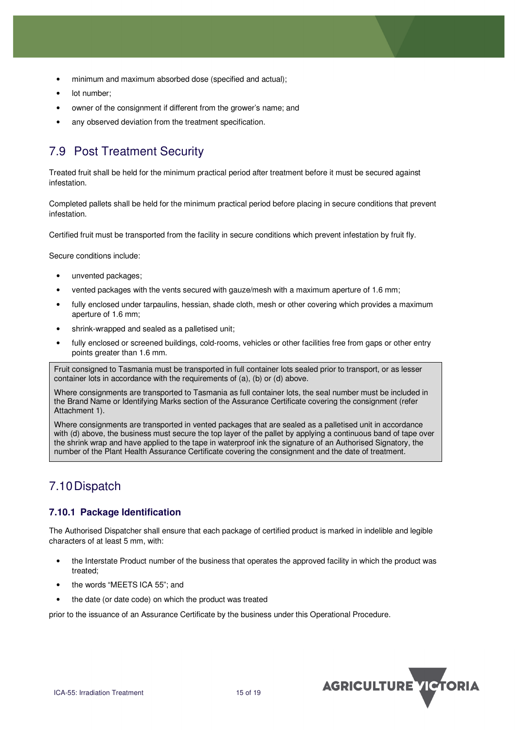- minimum and maximum absorbed dose (specified and actual);
- lot number;
- owner of the consignment if different from the grower's name; and
- any observed deviation from the treatment specification.

## 7.9 Post Treatment Security

Treated fruit shall be held for the minimum practical period after treatment before it must be secured against infestation.

Completed pallets shall be held for the minimum practical period before placing in secure conditions that prevent infestation.

Certified fruit must be transported from the facility in secure conditions which prevent infestation by fruit fly.

Secure conditions include:

- unvented packages;
- vented packages with the vents secured with gauze/mesh with a maximum aperture of 1.6 mm;
- fully enclosed under tarpaulins, hessian, shade cloth, mesh or other covering which provides a maximum aperture of 1.6 mm;
- shrink-wrapped and sealed as a palletised unit;
- fully enclosed or screened buildings, cold-rooms, vehicles or other facilities free from gaps or other entry points greater than 1.6 mm.

Fruit consigned to Tasmania must be transported in full container lots sealed prior to transport, or as lesser container lots in accordance with the requirements of (a), (b) or (d) above.

Where consignments are transported to Tasmania as full container lots, the seal number must be included in the Brand Name or Identifying Marks section of the Assurance Certificate covering the consignment (refer Attachment 1).

Where consignments are transported in vented packages that are sealed as a palletised unit in accordance with (d) above, the business must secure the top layer of the pallet by applying a continuous band of tape over the shrink wrap and have applied to the tape in waterproof ink the signature of an Authorised Signatory, the number of the Plant Health Assurance Certificate covering the consignment and the date of treatment.

### 7.10 Dispatch

#### **7.10.1 Package Identification**

The Authorised Dispatcher shall ensure that each package of certified product is marked in indelible and legible characters of at least 5 mm, with:

- the Interstate Product number of the business that operates the approved facility in which the product was treated;
- the words "MEETS ICA 55"; and
- the date (or date code) on which the product was treated

prior to the issuance of an Assurance Certificate by the business under this Operational Procedure.

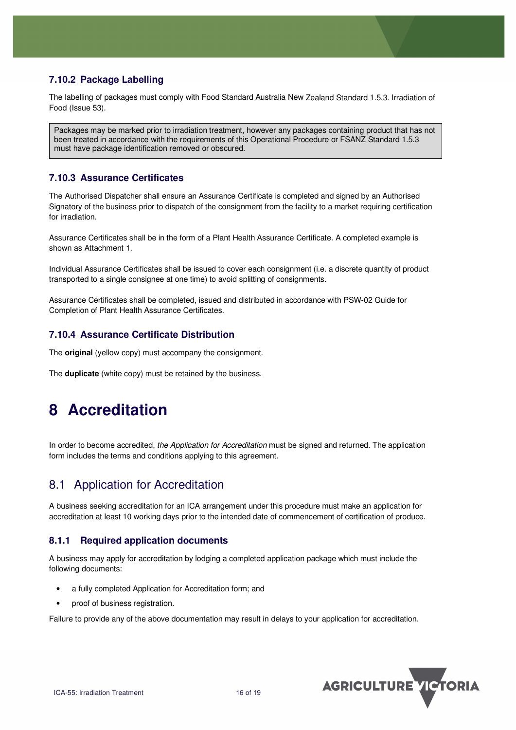### **7.10.2 Package Labelling**

The labelling of packages must comply with Food Standard Australia New Zealand Standard 1.5.3. Irradiation of Food (Issue 53).

Packages may be marked prior to irradiation treatment, however any packages containing product that has not been treated in accordance with the requirements of this Operational Procedure or FSANZ Standard 1.5.3 must have package identification removed or obscured.

### **7.10.3 Assurance Certificates**

The Authorised Dispatcher shall ensure an Assurance Certificate is completed and signed by an Authorised Signatory of the business prior to dispatch of the consignment from the facility to a market requiring certification for irradiation.

Assurance Certificates shall be in the form of a Plant Health Assurance Certificate. A completed example is shown as Attachment 1.

Individual Assurance Certificates shall be issued to cover each consignment (i.e. a discrete quantity of product transported to a single consignee at one time) to avoid splitting of consignments.

Assurance Certificates shall be completed, issued and distributed in accordance with PSW-02 Guide for Completion of Plant Health Assurance Certificates.

#### **7.10.4 Assurance Certificate Distribution**

The **original** (yellow copy) must accompany the consignment.

The **duplicate** (white copy) must be retained by the business.

## **8 Accreditation**

In order to become accredited, the Application for Accreditation must be signed and returned. The application form includes the terms and conditions applying to this agreement.

### 8.1 Application for Accreditation

A business seeking accreditation for an ICA arrangement under this procedure must make an application for accreditation at least 10 working days prior to the intended date of commencement of certification of produce.

### **8.1.1 Required application documents**

A business may apply for accreditation by lodging a completed application package which must include the following documents:

- a fully completed Application for Accreditation form; and
- proof of business registration.

Failure to provide any of the above documentation may result in delays to your application for accreditation.

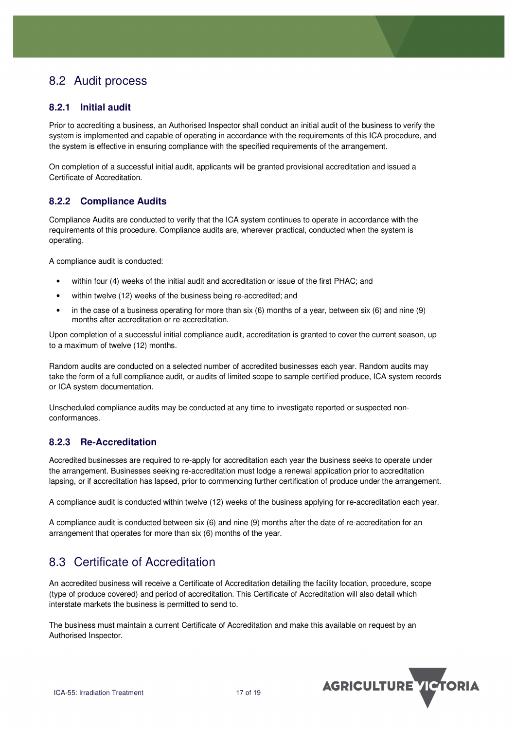## 8.2 Audit process

### **8.2.1 Initial audit**

Prior to accrediting a business, an Authorised Inspector shall conduct an initial audit of the business to verify the system is implemented and capable of operating in accordance with the requirements of this ICA procedure, and the system is effective in ensuring compliance with the specified requirements of the arrangement.

On completion of a successful initial audit, applicants will be granted provisional accreditation and issued a Certificate of Accreditation.

### **8.2.2 Compliance Audits**

Compliance Audits are conducted to verify that the ICA system continues to operate in accordance with the requirements of this procedure. Compliance audits are, wherever practical, conducted when the system is operating.

A compliance audit is conducted:

- within four (4) weeks of the initial audit and accreditation or issue of the first PHAC; and
- within twelve (12) weeks of the business being re-accredited; and
- in the case of a business operating for more than six (6) months of a year, between six (6) and nine (9) months after accreditation or re-accreditation.

Upon completion of a successful initial compliance audit, accreditation is granted to cover the current season, up to a maximum of twelve (12) months.

Random audits are conducted on a selected number of accredited businesses each year. Random audits may take the form of a full compliance audit, or audits of limited scope to sample certified produce, ICA system records or ICA system documentation.

Unscheduled compliance audits may be conducted at any time to investigate reported or suspected nonconformances.

### **8.2.3 Re-Accreditation**

Accredited businesses are required to re-apply for accreditation each year the business seeks to operate under the arrangement. Businesses seeking re-accreditation must lodge a renewal application prior to accreditation lapsing, or if accreditation has lapsed, prior to commencing further certification of produce under the arrangement.

A compliance audit is conducted within twelve (12) weeks of the business applying for re-accreditation each year.

A compliance audit is conducted between six (6) and nine (9) months after the date of re-accreditation for an arrangement that operates for more than six (6) months of the year.

## 8.3 Certificate of Accreditation

An accredited business will receive a Certificate of Accreditation detailing the facility location, procedure, scope (type of produce covered) and period of accreditation. This Certificate of Accreditation will also detail which interstate markets the business is permitted to send to.

The business must maintain a current Certificate of Accreditation and make this available on request by an Authorised Inspector.

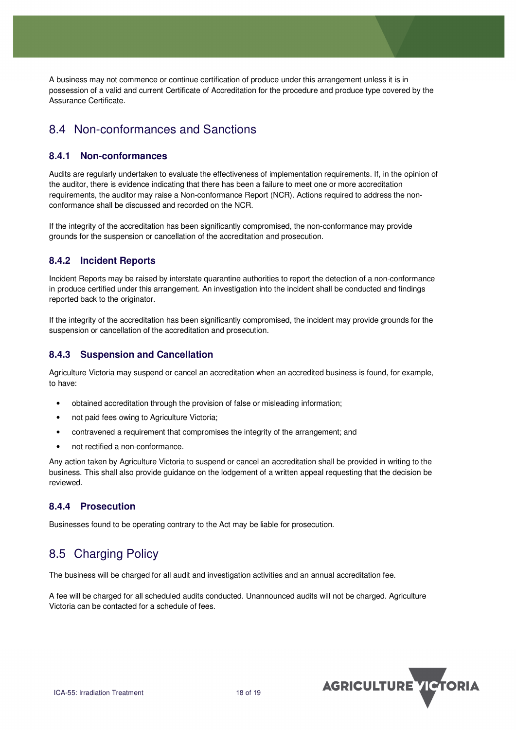A business may not commence or continue certification of produce under this arrangement unless it is in possession of a valid and current Certificate of Accreditation for the procedure and produce type covered by the Assurance Certificate.

## 8.4 Non-conformances and Sanctions

#### **8.4.1 Non-conformances**

Audits are regularly undertaken to evaluate the effectiveness of implementation requirements. If, in the opinion of the auditor, there is evidence indicating that there has been a failure to meet one or more accreditation requirements, the auditor may raise a Non-conformance Report (NCR). Actions required to address the nonconformance shall be discussed and recorded on the NCR.

If the integrity of the accreditation has been significantly compromised, the non-conformance may provide grounds for the suspension or cancellation of the accreditation and prosecution.

### **8.4.2 Incident Reports**

Incident Reports may be raised by interstate quarantine authorities to report the detection of a non-conformance in produce certified under this arrangement. An investigation into the incident shall be conducted and findings reported back to the originator.

If the integrity of the accreditation has been significantly compromised, the incident may provide grounds for the suspension or cancellation of the accreditation and prosecution.

### **8.4.3 Suspension and Cancellation**

Agriculture Victoria may suspend or cancel an accreditation when an accredited business is found, for example, to have:

- obtained accreditation through the provision of false or misleading information;
- not paid fees owing to Agriculture Victoria;
- contravened a requirement that compromises the integrity of the arrangement; and
- not rectified a non-conformance.

Any action taken by Agriculture Victoria to suspend or cancel an accreditation shall be provided in writing to the business. This shall also provide guidance on the lodgement of a written appeal requesting that the decision be reviewed.

#### **8.4.4 Prosecution**

Businesses found to be operating contrary to the Act may be liable for prosecution.

## 8.5 Charging Policy

The business will be charged for all audit and investigation activities and an annual accreditation fee.

A fee will be charged for all scheduled audits conducted. Unannounced audits will not be charged. Agriculture Victoria can be contacted for a schedule of fees.

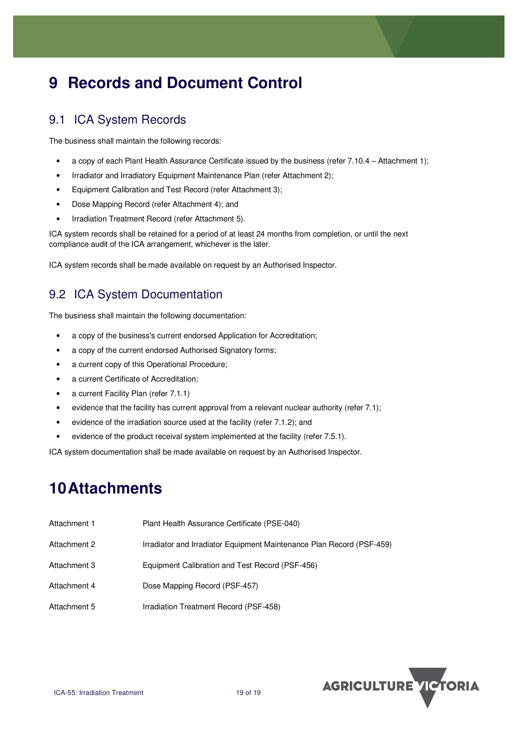## **9 Records and Document Control**

## 9.1 ICA System Records

The business shall maintain the following records:

- a copy of each Plant Health Assurance Certificate issued by the business (refer 7.10.4 Attachment 1);
- Irradiator and Irradiatory Equipment Maintenance Plan (refer Attachment 2);
- Equipment Calibration and Test Record (refer Attachment 3);
- Dose Mapping Record (refer Attachment 4); and
- Irradiation Treatment Record (refer Attachment 5).

ICA system records shall be retained for a period of at least 24 months from completion, or until the next compliance audit of the ICA arrangement, whichever is the later.

ICA system records shall be made available on request by an Authorised Inspector.

## 9.2 ICA System Documentation

The business shall maintain the following documentation:

- a copy of the business's current endorsed Application for Accreditation;
- a copy of the current endorsed Authorised Signatory forms;
- a current copy of this Operational Procedure;
- a current Certificate of Accreditation;
- a current Facility Plan (refer 7.1.1)
- evidence that the facility has current approval from a relevant nuclear authority (refer 7.1);
- evidence of the irradiation source used at the facility (refer 7.1.2); and
- evidence of the product receival system implemented at the facility (refer 7.5.1).

ICA system documentation shall be made available on request by an Authorised Inspector.

## **10 Attachments**

| Attachment 1 | Plant Health Assurance Certificate (PSE-040)                          |
|--------------|-----------------------------------------------------------------------|
| Attachment 2 | Irradiator and Irradiator Equipment Maintenance Plan Record (PSF-459) |
| Attachment 3 | Equipment Calibration and Test Record (PSF-456)                       |
| Attachment 4 | Dose Mapping Record (PSF-457)                                         |
| Attachment 5 | Irradiation Treatment Record (PSF-458)                                |

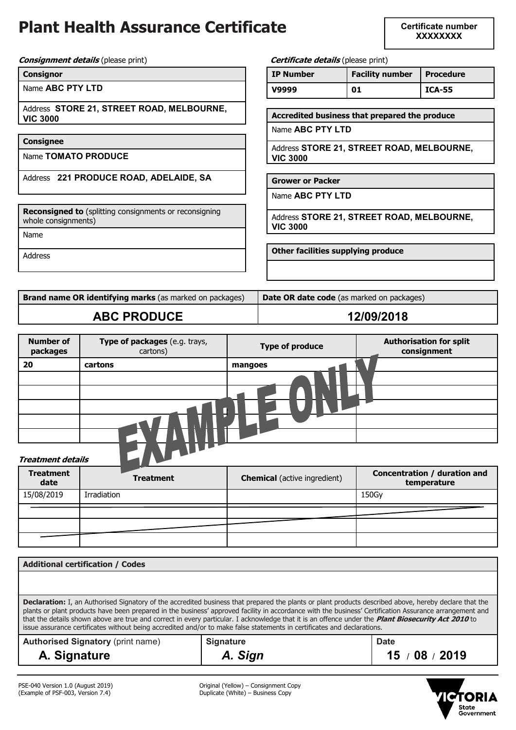# **Plant Health Assurance Certificate**

**Consignment details** (please print) **Centificate details** (please print)

#### **Consignor**

Name **ABC PTY LTD**

Address **STORE 21, STREET ROAD, MELBOURNE, VIC 3000**

#### **Consignee**

Name **TOMATO PRODUCE**

Address **221 PRODUCE ROAD, ADELAIDE, SA**

**Reconsigned to** (splitting consignments or reconsigning whole consignments)

Name

Address

| `artificato detaile (please printi |  |  |
|------------------------------------|--|--|

| <b>IP Number</b> | <b>Facility number Procedure</b> |               |
|------------------|----------------------------------|---------------|
| V9999            | 01                               | <b>ICA-55</b> |

**Accredited business that prepared the produce** 

Name **ABC PTY LTD**

Address **STORE 21, STREET ROAD, MELBOURNE, VIC 3000**

**Grower or Packer** 

Name **ABC PTY LTD**

Address **STORE 21, STREET ROAD, MELBOURNE, VIC 3000**

**Other facilities supplying produce** 

**Brand name OR identifying marks** (as marked on packages) | Date OR date code (as marked on packages) **ABC PRODUCE 12/09/2018**

| <b>Number of</b><br>packages | Type of packages (e.g. trays,<br>cartons) | <b>Type of produce</b> | <b>Authorisation for split</b><br>consignment |  |
|------------------------------|-------------------------------------------|------------------------|-----------------------------------------------|--|
| 20                           | cartons                                   | mangoes                |                                               |  |
|                              |                                           |                        |                                               |  |
|                              |                                           |                        |                                               |  |
|                              |                                           |                        |                                               |  |
|                              | H                                         |                        |                                               |  |
|                              |                                           |                        |                                               |  |
| <b>Treatment details</b>     |                                           |                        |                                               |  |

**Treatment details** 

| <b>Treatment</b><br>date | <b>Treatment</b>   | <b>Chemical</b> (active ingredient) | Concentration / duration and<br>temperature |
|--------------------------|--------------------|-------------------------------------|---------------------------------------------|
| 15/08/2019               | <b>Irradiation</b> |                                     | 150Gy                                       |
|                          |                    |                                     |                                             |
|                          |                    |                                     |                                             |
|                          |                    |                                     |                                             |

**Additional certification / Codes** 

**Declaration:** I, an Authorised Signatory of the accredited business that prepared the plants or plant products described above, hereby declare that the plants or plant products have been prepared in the business' approved facility in accordance with the business' Certification Assurance arrangement and that the details shown above are true and correct in every particular. I acknowledge that it is an offence under the **Plant Biosecurity Act 2010** to issue assurance certificates without being accredited and/or to make false statements in certificates and declarations.

| <b>Authorised Signatory (print name)</b> | <b>Signature</b> | <b>Date</b> |  |  |
|------------------------------------------|------------------|-------------|--|--|
| A. Signature                             | A. Sign          | 15/08/2019  |  |  |



PSE-040 Version 1.0 (August 2019) Original (Yellow) – Consignment Copy Duplicate (White) – Business Copy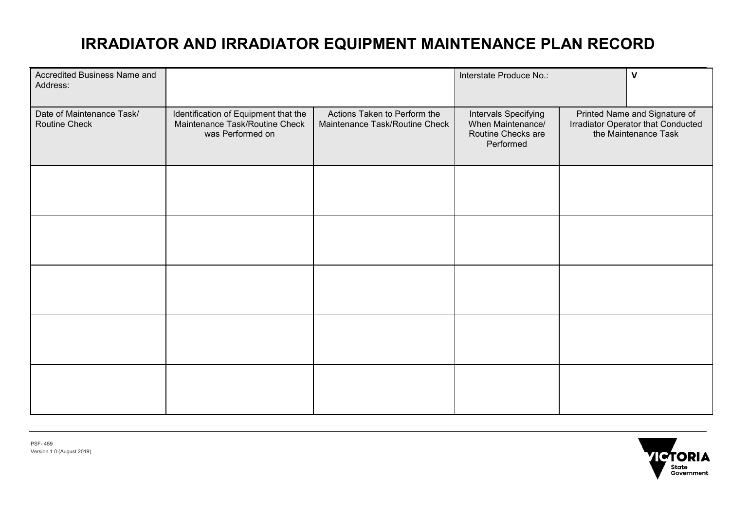# **IRRADIATOR AND IRRADIATOR EQUIPMENT MAINTENANCE PLAN RECORD**

| Accredited Business Name and<br>Address:   |                                                                                            |                                                                | Interstate Produce No.:                                                      | $\mathsf{V}$                                                                                |
|--------------------------------------------|--------------------------------------------------------------------------------------------|----------------------------------------------------------------|------------------------------------------------------------------------------|---------------------------------------------------------------------------------------------|
| Date of Maintenance Task/<br>Routine Check | Identification of Equipment that the<br>Maintenance Task/Routine Check<br>was Performed on | Actions Taken to Perform the<br>Maintenance Task/Routine Check | Intervals Specifying<br>When Maintenance/<br>Routine Checks are<br>Performed | Printed Name and Signature of<br>Irradiator Operator that Conducted<br>the Maintenance Task |
|                                            |                                                                                            |                                                                |                                                                              |                                                                                             |
|                                            |                                                                                            |                                                                |                                                                              |                                                                                             |
|                                            |                                                                                            |                                                                |                                                                              |                                                                                             |
|                                            |                                                                                            |                                                                |                                                                              |                                                                                             |
|                                            |                                                                                            |                                                                |                                                                              |                                                                                             |

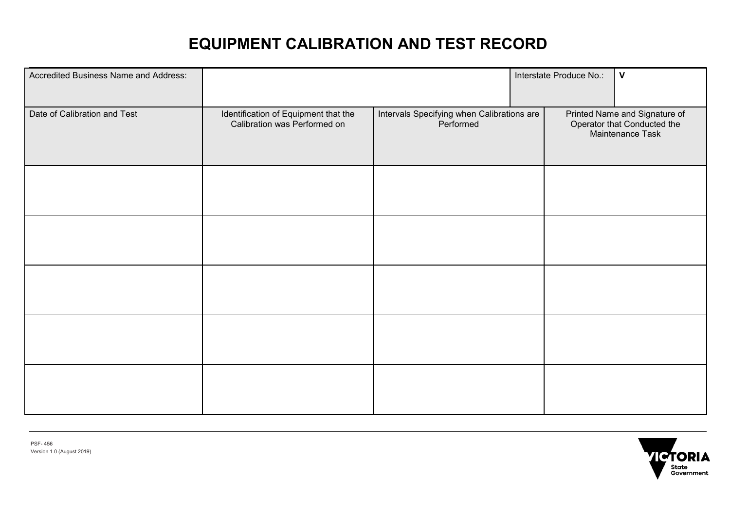# **EQUIPMENT CALIBRATION AND TEST RECORD**

| Accredited Business Name and Address: |                                                                      |                                                         | Interstate Produce No.: | $\mathbf v$                                                                      |
|---------------------------------------|----------------------------------------------------------------------|---------------------------------------------------------|-------------------------|----------------------------------------------------------------------------------|
| Date of Calibration and Test          | Identification of Equipment that the<br>Calibration was Performed on | Intervals Specifying when Calibrations are<br>Performed |                         | Printed Name and Signature of<br>Operator that Conducted the<br>Maintenance Task |
|                                       |                                                                      |                                                         |                         |                                                                                  |
|                                       |                                                                      |                                                         |                         |                                                                                  |
|                                       |                                                                      |                                                         |                         |                                                                                  |
|                                       |                                                                      |                                                         |                         |                                                                                  |
|                                       |                                                                      |                                                         |                         |                                                                                  |

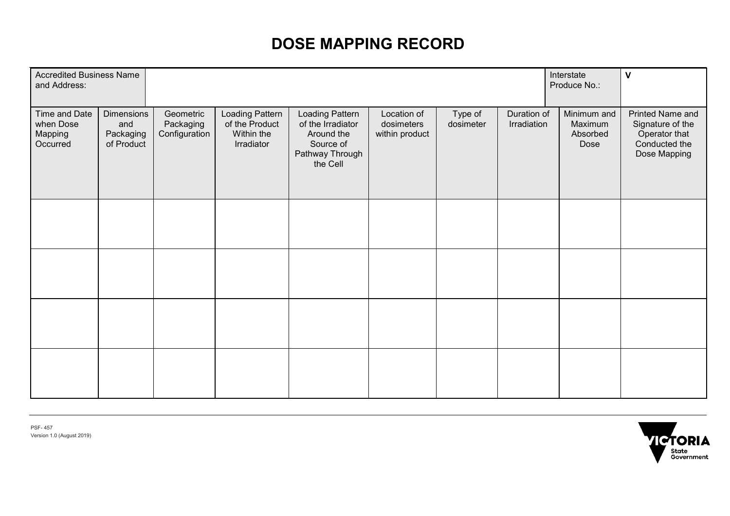# **DOSE MAPPING RECORD**

| <b>Accredited Business Name</b><br>and Address:   |                                                     |                                         |                                                               |                                                                                                |                                             |                      |                            | Interstate<br>Produce No.:                 | $\mathbf v$                                                                            |
|---------------------------------------------------|-----------------------------------------------------|-----------------------------------------|---------------------------------------------------------------|------------------------------------------------------------------------------------------------|---------------------------------------------|----------------------|----------------------------|--------------------------------------------|----------------------------------------------------------------------------------------|
| Time and Date<br>when Dose<br>Mapping<br>Occurred | <b>Dimensions</b><br>and<br>Packaging<br>of Product | Geometric<br>Packaging<br>Configuration | Loading Pattern<br>of the Product<br>Within the<br>Irradiator | Loading Pattern<br>of the Irradiator<br>Around the<br>Source of<br>Pathway Through<br>the Cell | Location of<br>dosimeters<br>within product | Type of<br>dosimeter | Duration of<br>Irradiation | Minimum and<br>Maximum<br>Absorbed<br>Dose | Printed Name and<br>Signature of the<br>Operator that<br>Conducted the<br>Dose Mapping |
|                                                   |                                                     |                                         |                                                               |                                                                                                |                                             |                      |                            |                                            |                                                                                        |
|                                                   |                                                     |                                         |                                                               |                                                                                                |                                             |                      |                            |                                            |                                                                                        |
|                                                   |                                                     |                                         |                                                               |                                                                                                |                                             |                      |                            |                                            |                                                                                        |
|                                                   |                                                     |                                         |                                                               |                                                                                                |                                             |                      |                            |                                            |                                                                                        |



PSF- 457 Version 1.0 (August 2019)